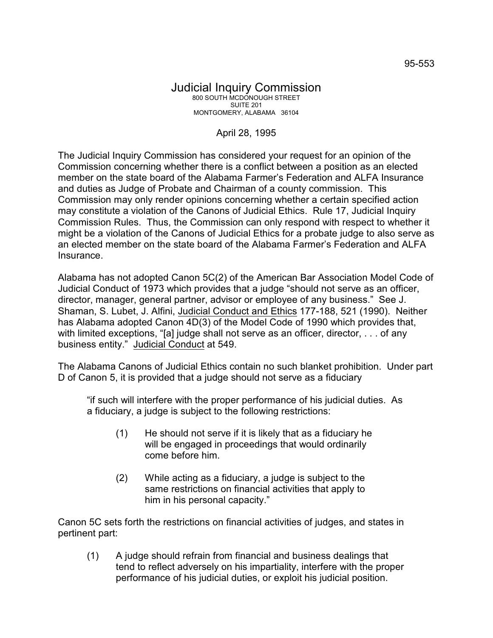## Judicial Inquiry Commission 800 SOUTH MCDONOUGH STREET SUITE 201 MONTGOMERY, ALABAMA 36104

## April 28, 1995

The Judicial Inquiry Commission has considered your request for an opinion of the Commission concerning whether there is a conflict between a position as an elected member on the state board of the Alabama Farmer's Federation and ALFA Insurance and duties as Judge of Probate and Chairman of a county commission. This Commission may only render opinions concerning whether a certain specified action may constitute a violation of the Canons of Judicial Ethics. Rule 17, Judicial Inquiry Commission Rules. Thus, the Commission can only respond with respect to whether it might be a violation of the Canons of Judicial Ethics for a probate judge to also serve as an elected member on the state board of the Alabama Farmer's Federation and ALFA Insurance.

Alabama has not adopted Canon 5C(2) of the American Bar Association Model Code of Judicial Conduct of 1973 which provides that a judge "should not serve as an officer, director, manager, general partner, advisor or employee of any business." See J. Shaman, S. Lubet, J. Alfini, Judicial Conduct and Ethics 177-188, 521 (1990). Neither has Alabama adopted Canon 4D(3) of the Model Code of 1990 which provides that, with limited exceptions, "[a] judge shall not serve as an officer, director, ... of any business entity." Judicial Conduct at 549.

The Alabama Canons of Judicial Ethics contain no such blanket prohibition. Under part D of Canon 5, it is provided that a judge should not serve as a fiduciary

"if such will interfere with the proper performance of his judicial duties. As a fiduciary, a judge is subject to the following restrictions:

- (1) He should not serve if it is likely that as a fiduciary he will be engaged in proceedings that would ordinarily come before him.
- (2) While acting as a fiduciary, a judge is subject to the same restrictions on financial activities that apply to him in his personal capacity."

Canon 5C sets forth the restrictions on financial activities of judges, and states in pertinent part:

(1) A judge should refrain from financial and business dealings that tend to reflect adversely on his impartiality, interfere with the proper performance of his judicial duties, or exploit his judicial position.